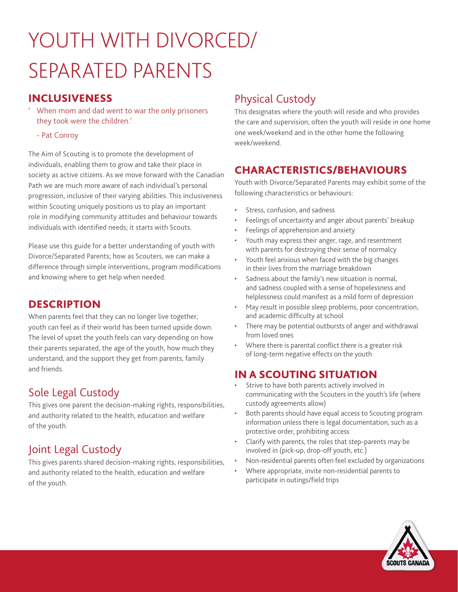# YOUTH WITH DIVORCED/ SEPARATED PARENTS

## INCLUSIVENESS

- ' When mom and dad went to war the only prisoners they took were the children.'
	- Pat Conroy

The Aim of Scouting is to promote the development of individuals, enabling them to grow and take their place in society as active citizens. As we move forward with the Canadian Path we are much more aware of each individual's personal progression, inclusive of their varying abilities. This inclusiveness within Scouting uniquely positions us to play an important role in modifying community attitudes and behaviour towards individuals with identified needs; it starts with Scouts.

Please use this guide for a better understanding of youth with Divorce/Separated Parents; how as Scouters, we can make a difference through simple interventions, program modifications and knowing where to get help when needed.

### **DESCRIPTION**

When parents feel that they can no longer live together, youth can feel as if their world has been turned upside down. The level of upset the youth feels can vary depending on how their parents separated, the age of the youth, how much they understand, and the support they get from parents, family and friends.

## Sole Legal Custody

This gives one parent the decision-making rights, responsibilities, and authority related to the health, education and welfare of the youth.

# Joint Legal Custody

This gives parents shared decision-making rights, responsibilities, and authority related to the health, education and welfare of the youth.

# Physical Custody

This designates where the youth will reside and who provides the care and supervision; often the youth will reside in one home one week/weekend and in the other home the following week/weekend.

## CHARACTERISTICS/BEHAVIOURS

Youth with Divorce/Separated Parents may exhibit some of the following characteristics or behaviours:

- Stress, confusion, and sadness
- Feelings of uncertainty and anger about parents' breakup
- Feelings of apprehension and anxiety
- Youth may express their anger, rage, and resentment with parents for destroying their sense of normalcy
- Youth feel anxious when faced with the big changes in their lives from the marriage breakdown
- Sadness about the family's new situation is normal, and sadness coupled with a sense of hopelessness and helplessness could manifest as a mild form of depression
- May result in possible sleep problems, poor concentration, and academic difficulty at school
- There may be potential outbursts of anger and withdrawal from loved ones
- Where there is parental conflict there is a greater risk of long-term negative effects on the youth

## IN A SCOUTING SITUATION

- Strive to have both parents actively involved in communicating with the Scouters in the youth's life (where custody agreements allow)
- Both parents should have equal access to Scouting program information unless there is legal documentation, such as a protective order, prohibiting access
- Clarify with parents, the roles that step-parents may be involved in (pick-up, drop-off youth, etc.)
- Non-residential parents often feel excluded by organizations
- Where appropriate, invite non-residential parents to participate in outings/field trips